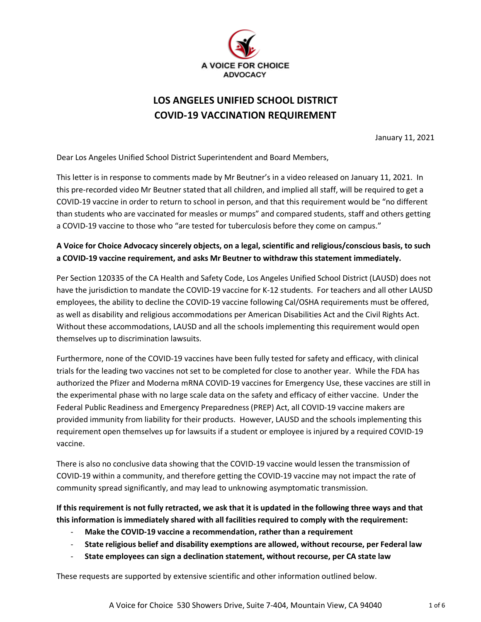

# **LOS ANGELES UNIFIED SCHOOL DISTRICT COVID-19 VACCINATION REQUIREMENT**

January 11, 2021

Dear Los Angeles Unified School District Superintendent and Board Members,

This letter is in response to comments made by Mr Beutner's in a video released on January 11, 2021. In this pre-recorded video Mr Beutner stated that all children, and implied all staff, will be required to get a COVID-19 vaccine in order to return to school in person, and that this requirement would be "no different than students who are vaccinated for measles or mumps" and compared students, staff and others getting a COVID-19 vaccine to those who "are tested for tuberculosis before they come on campus."

# **A Voice for Choice Advocacy sincerely objects, on a legal, scientific and religious/conscious basis, to such a COVID-19 vaccine requirement, and asks Mr Beutner to withdraw this statement immediately.**

Per Section 120335 of the CA Health and Safety Code, Los Angeles Unified School District (LAUSD) does not have the jurisdiction to mandate the COVID-19 vaccine for K-12 students. For teachers and all other LAUSD employees, the ability to decline the COVID-19 vaccine following Cal/OSHA requirements must be offered, as well as disability and religious accommodations per American Disabilities Act and the Civil Rights Act. Without these accommodations, LAUSD and all the schools implementing this requirement would open themselves up to discrimination lawsuits.

Furthermore, none of the COVID-19 vaccines have been fully tested for safety and efficacy, with clinical trials for the leading two vaccines not set to be completed for close to another year. While the FDA has authorized the Pfizer and Moderna mRNA COVID-19 vaccines for Emergency Use, these vaccines are still in the experimental phase with no large scale data on the safety and efficacy of either vaccine. Under the Federal Public Readiness and Emergency Preparedness (PREP) Act, all COVID-19 vaccine makers are provided immunity from liability for their products. However, LAUSD and the schools implementing this requirement open themselves up for lawsuits if a student or employee is injured by a required COVID-19 vaccine.

There is also no conclusive data showing that the COVID-19 vaccine would lessen the transmission of COVID-19 within a community, and therefore getting the COVID-19 vaccine may not impact the rate of community spread significantly, and may lead to unknowing asymptomatic transmission.

**If this requirement is not fully retracted, we ask that it is updated in the following three ways and that this information is immediately shared with all facilities required to comply with the requirement:**

- **Make the COVID-19 vaccine a recommendation, rather than a requirement**
- **State religious belief and disability exemptions are allowed, without recourse, per Federal law**
- **State employees can sign a declination statement, without recourse, per CA state law**

These requests are supported by extensive scientific and other information outlined below.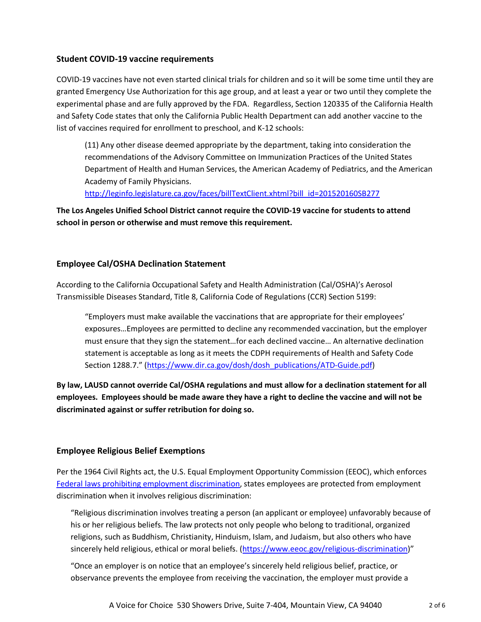#### **Student COVID-19 vaccine requirements**

COVID-19 vaccines have not even started clinical trials for children and so it will be some time until they are granted Emergency Use Authorization for this age group, and at least a year or two until they complete the experimental phase and are fully approved by the FDA. Regardless, Section 120335 of the California Health and Safety Code states that only the California Public Health Department can add another vaccine to the list of vaccines required for enrollment to preschool, and K-12 schools:

(11) Any other disease deemed appropriate by the department, taking into consideration the recommendations of the Advisory Committee on Immunization Practices of the United States Department of Health and Human Services, the American Academy of Pediatrics, and the American Academy of Family Physicians.

[http://leginfo.legislature.ca.gov/faces/billTextClient.xhtml?bill\\_id=201520160SB277](http://leginfo.legislature.ca.gov/faces/billTextClient.xhtml?bill_id=201520160SB277)

**The Los Angeles Unified School District cannot require the COVID-19 vaccine for students to attend school in person or otherwise and must remove this requirement.**

#### **Employee Cal/OSHA Declination Statement**

According to the California Occupational Safety and Health Administration (Cal/OSHA)'s Aerosol Transmissible Diseases Standard, Title 8, California Code of Regulations (CCR) Section 5199:

"Employers must make available the vaccinations that are appropriate for their employees' exposures…Employees are permitted to decline any recommended vaccination, but the employer must ensure that they sign the statement…for each declined vaccine… An alternative declination statement is acceptable as long as it meets the CDPH requirements of Health and Safety Code Section 1288.7." [\(https://www.dir.ca.gov/dosh/dosh\\_publications/ATD-Guide.pdf\)](https://www.dir.ca.gov/dosh/dosh_publications/ATD-Guide.pdf)

**By law, LAUSD cannot override Cal/OSHA regulations and must allow for a declination statement for all employees. Employees should be made aware they have a right to decline the vaccine and will not be discriminated against or suffer retribution for doing so.**

## **Employee Religious Belief Exemptions**

Per the 1964 Civil Rights act, the U.S. Equal Employment Opportunity Commission (EEOC), which enforces [Federal laws prohibiting employment discrimination,](https://www.eeoc.gov/laws-guidance-0) states employees are protected from employment discrimination when it involves religious discrimination:

"Religious discrimination involves treating a person (an applicant or employee) unfavorably because of his or her religious beliefs. The law protects not only people who belong to traditional, organized religions, such as Buddhism, Christianity, Hinduism, Islam, and Judaism, but also others who have sincerely held religious, ethical or moral beliefs. [\(https://www.eeoc.gov/religious-discrimination\)](https://www.eeoc.gov/religious-discrimination)"

"Once an employer is on notice that an employee's sincerely held religious belief, practice, or observance prevents the employee from receiving the vaccination, the employer must provide a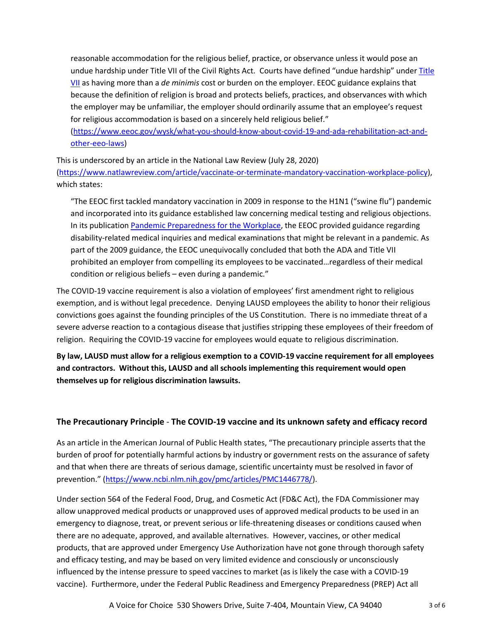reasonable accommodation for the religious belief, practice, or observance unless it would pose an undue hardship under Title VII of the Civil Rights Act. Courts have defined "undue hardship" under [Title](https://www.eeoc.gov/laws/guidance/questions-and-answers-religious-discrimination-workplace)  [VII](https://www.eeoc.gov/laws/guidance/questions-and-answers-religious-discrimination-workplace) as having more than a *de minimis* cost or burden on the employer. EEOC guidance explains that because the definition of religion is broad and protects beliefs, practices, and observances with which the employer may be unfamiliar, the employer should ordinarily assume that an employee's request for religious accommodation is based on a sincerely held religious belief."

[\(https://www.eeoc.gov/wysk/what-you-should-know-about-covid-19-and-ada-rehabilitation-act-and](https://www.eeoc.gov/wysk/what-you-should-know-about-covid-19-and-ada-rehabilitation-act-and-other-eeo-laws)[other-eeo-laws\)](https://www.eeoc.gov/wysk/what-you-should-know-about-covid-19-and-ada-rehabilitation-act-and-other-eeo-laws)

This is underscored by an article in the National Law Review (July 28, 2020) [\(https://www.natlawreview.com/article/vaccinate-or-terminate-mandatory-vaccination-workplace-policy\)](https://www.natlawreview.com/article/vaccinate-or-terminate-mandatory-vaccination-workplace-policy), which states:

"The EEOC first tackled mandatory vaccination in 2009 in response to the H1N1 ("swine flu") pandemic and incorporated into its guidance established law concerning medical testing and religious objections. In its publication [Pandemic Preparedness for the Workplace,](https://www.eeoc.gov/laws/guidance/pandemic-preparedness-workplace-and-americans-disabilities-act) the EEOC provided guidance regarding disability-related medical inquiries and medical examinations that might be relevant in a pandemic. As part of the 2009 guidance, the EEOC unequivocally concluded that both the ADA and Title VII prohibited an employer from compelling its employees to be vaccinated…regardless of their medical condition or religious beliefs – even during a pandemic."

The COVID-19 vaccine requirement is also a violation of employees' first amendment right to religious exemption, and is without legal precedence. Denying LAUSD employees the ability to honor their religious convictions goes against the founding principles of the US Constitution. There is no immediate threat of a severe adverse reaction to a contagious disease that justifies stripping these employees of their freedom of religion. Requiring the COVID-19 vaccine for employees would equate to religious discrimination.

**By law, LAUSD must allow for a religious exemption to a COVID-19 vaccine requirement for all employees and contractors. Without this, LAUSD and all schools implementing this requirement would open themselves up for religious discrimination lawsuits.**

## **The Precautionary Principle** - **The COVID-19 vaccine and its unknown safety and efficacy record**

As an article in the American Journal of Public Health states, "The precautionary principle asserts that the burden of proof for potentially harmful actions by industry or government rests on the assurance of safety and that when there are threats of serious damage, scientific uncertainty must be resolved in favor of prevention." [\(https://www.ncbi.nlm.nih.gov/pmc/articles/PMC1446778/\)](https://www.ncbi.nlm.nih.gov/pmc/articles/PMC1446778/).

Under section 564 of the Federal Food, Drug, and Cosmetic Act (FD&C Act), the FDA Commissioner may allow unapproved medical products or unapproved uses of approved medical products to be used in an emergency to diagnose, treat, or prevent serious or life-threatening diseases or conditions caused when there are no adequate, approved, and available alternatives. However, vaccines, or other medical products, that are approved under Emergency Use Authorization have not gone through thorough safety and efficacy testing, and may be based on very limited evidence and consciously or unconsciously influenced by the intense pressure to speed vaccines to market (as is likely the case with a COVID-19 vaccine). Furthermore, under the Federal Public Readiness and Emergency Preparedness (PREP) Act all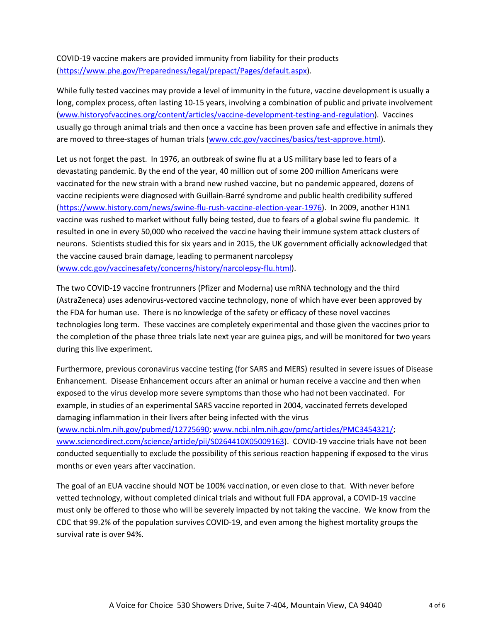COVID-19 vaccine makers are provided immunity from liability for their products [\(https://www.phe.gov/Preparedness/legal/prepact/Pages/default.aspx\)](https://www.phe.gov/Preparedness/legal/prepact/Pages/default.aspx).

While fully tested vaccines may provide a level of immunity in the future, vaccine development is usually a long, complex process, often lasting 10-15 years, involving a combination of public and private involvement [\(www.historyofvaccines.org/content/articles/vaccine-development-testing-and-regulation\)](https://www.historyofvaccines.org/content/articles/vaccine-development-testing-and-regulation). Vaccines usually go through animal trials and then once a vaccine has been proven safe and effective in animals they are moved to three-stages of human trials [\(www.cdc.gov/vaccines/basics/test-approve.html\)](https://www.cdc.gov/vaccines/basics/test-approve.html).

Let us not forget the past. In 1976, an outbreak of swine flu at a US military base led to fears of a devastating pandemic. By the end of the year, 40 million out of some 200 million Americans were vaccinated for the new strain with a brand new rushed vaccine, but no pandemic appeared, dozens of vaccine recipients were diagnosed with Guillain-Barré syndrome and public health credibility suffered [\(https://www.history.com/news/swine-flu-rush-vaccine-election-year-1976\)](https://www.history.com/news/swine-flu-rush-vaccine-election-year-1976). In 2009, another H1N1 vaccine was rushed to market without fully being tested, due to fears of a global swine flu pandemic. It resulted in one in every 50,000 who received the vaccine having their immune system attack clusters of neurons. Scientists studied this for six years and in 2015, the UK government officially acknowledged that the vaccine caused brain damage, leading to permanent narcolepsy [\(www.cdc.gov/vaccinesafety/concerns/history/narcolepsy-flu.html\)](https://www.cdc.gov/vaccinesafety/concerns/history/narcolepsy-flu.html).

The two COVID-19 vaccine frontrunners (Pfizer and Moderna) use mRNA technology and the third (AstraZeneca) uses adenovirus-vectored vaccine technology, none of which have ever been approved by the FDA for human use. There is no knowledge of the safety or efficacy of these novel vaccines technologies long term. These vaccines are completely experimental and those given the vaccines prior to the completion of the phase three trials late next year are guinea pigs, and will be monitored for two years during this live experiment.

Furthermore, previous coronavirus vaccine testing (for SARS and MERS) resulted in severe issues of Disease Enhancement. Disease Enhancement occurs after an animal or human receive a vaccine and then when exposed to the virus develop more severe symptoms than those who had not been vaccinated. For example, in studies of an experimental SARS vaccine reported in 2004, vaccinated ferrets developed damaging inflammation in their livers after being infected with the virus [\(www.ncbi.nlm.nih.gov/pubmed/12725690;](https://www.ncbi.nlm.nih.gov/pubmed/12725690) [www.ncbi.nlm.nih.gov/pmc/articles/PMC3454321/;](https://www.ncbi.nlm.nih.gov/pmc/articles/PMC3454321/) [www.sciencedirect.com/science/article/pii/S0264410X05009163\)](https://www.sciencedirect.com/science/article/pii/S0264410X05009163). COVID-19 vaccine trials have not been conducted sequentially to exclude the possibility of this serious reaction happening if exposed to the virus months or even years after vaccination.

The goal of an EUA vaccine should NOT be 100% vaccination, or even close to that. With never before vetted technology, without completed clinical trials and without full FDA approval, a COVID-19 vaccine must only be offered to those who will be severely impacted by not taking the vaccine. We know from the CDC that 99.2% of the population survives COVID-19, and even among the highest mortality groups the survival rate is over 94%.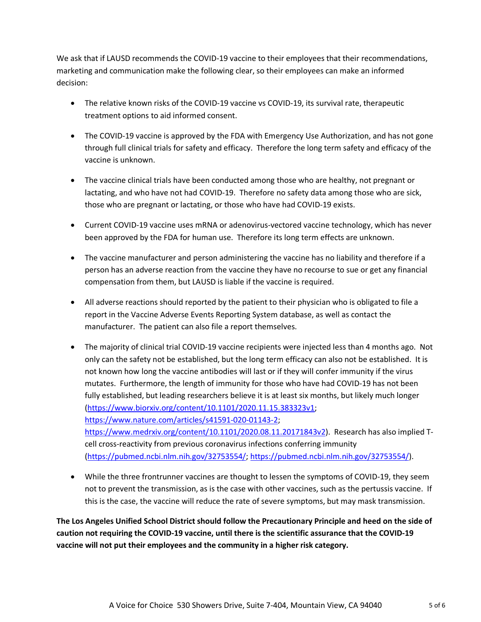We ask that if LAUSD recommends the COVID-19 vaccine to their employees that their recommendations, marketing and communication make the following clear, so their employees can make an informed decision:

- The relative known risks of the COVID-19 vaccine vs COVID-19, its survival rate, therapeutic treatment options to aid informed consent.
- The COVID-19 vaccine is approved by the FDA with Emergency Use Authorization, and has not gone through full clinical trials for safety and efficacy. Therefore the long term safety and efficacy of the vaccine is unknown.
- The vaccine clinical trials have been conducted among those who are healthy, not pregnant or lactating, and who have not had COVID-19. Therefore no safety data among those who are sick, those who are pregnant or lactating, or those who have had COVID-19 exists.
- Current COVID-19 vaccine uses mRNA or adenovirus-vectored vaccine technology, which has never been approved by the FDA for human use. Therefore its long term effects are unknown.
- The vaccine manufacturer and person administering the vaccine has no liability and therefore if a person has an adverse reaction from the vaccine they have no recourse to sue or get any financial compensation from them, but LAUSD is liable if the vaccine is required.
- All adverse reactions should reported by the patient to their physician who is obligated to file a report in the Vaccine Adverse Events Reporting System database, as well as contact the manufacturer. The patient can also file a report themselves.
- The majority of clinical trial COVID-19 vaccine recipients were injected less than 4 months ago. Not only can the safety not be established, but the long term efficacy can also not be established. It is not known how long the vaccine antibodies will last or if they will confer immunity if the virus mutates. Furthermore, the length of immunity for those who have had COVID-19 has not been fully established, but leading researchers believe it is at least six months, but likely much longer [\(https://www.biorxiv.org/content/10.1101/2020.11.15.383323v1;](https://www.biorxiv.org/content/10.1101/2020.11.15.383323v1) [https://www.nature.com/articles/s41591-020-01143-2;](https://www.nature.com/articles/s41591-020-01143-2) [https://www.medrxiv.org/content/10.1101/2020.08.11.20171843v2\)](https://www.medrxiv.org/content/10.1101/2020.08.11.20171843v2). Research has also implied Tcell cross-reactivity from previous coronavirus infections conferring immunity [\(https://pubmed.ncbi.nlm.nih.gov/32753554/; https://pubmed.ncbi.nlm.nih.gov/32753554/\)](https://pubmed.ncbi.nlm.nih.gov/32753554/).
- While the three frontrunner vaccines are thought to lessen the symptoms of COVID-19, they seem not to prevent the transmission, as is the case with other vaccines, such as the pertussis vaccine. If this is the case, the vaccine will reduce the rate of severe symptoms, but may mask transmission.

**The Los Angeles Unified School District should follow the Precautionary Principle and heed on the side of caution not requiring the COVID-19 vaccine, until there is the scientific assurance that the COVID-19 vaccine will not put their employees and the community in a higher risk category.**